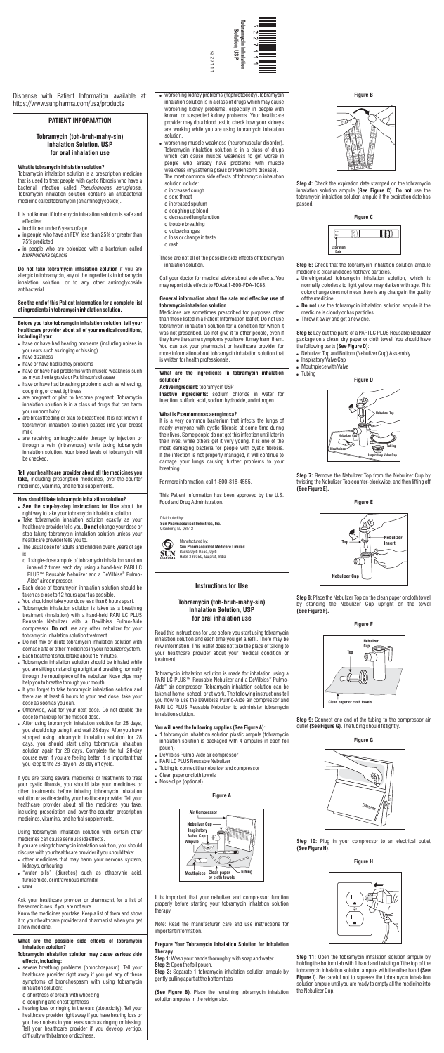Dispense with Patient Information available at: https://www.sunpharma.com/usa/products

# **PATIENT INFORMATION**

# **Tobramycin (toh-bruh-mahy-sin) Inhalation Solution, USP for oral inhalation use**

## **What is tobramycin inhalation solution?**

Tobramycin inhalation solution is a prescription medicine that is used to treat people with cystic fibrosis who have a bacterial infection called *Pseudomonas aeruginosa*. Tobramycin inhalation solution contains an antibacterial medicine called tobramycin (an aminoglycoside).

- It is not known if tobramycin inhalation solution is safe and effective:
- in children under 6 years of age
- $\bullet$  in people who have an FEV, less than 25% or greater than 75% predicted
- in people who are colonized with a bacterium called *Burkholderia cepacia*

**Do not take tobramycin inhalation solution** if you are allergic to tobramycin, any of the ingredients in tobramycin inhalation solution, or to any other aminoglycoside antibacterial.

- . have or have had hearing problems (including noises in your ears such as ringing or hissing)
- have dizziness
- have or have had kidney problems
- . have or have had problems with muscle weakness such as myasthenia gravis or Parkinson's disease
- . have or have had breathing problems such as wheezing, coughing, or chest tightness
- are pregnant or plan to become pregnant. Tobramycin inhalation solution is in a class of drugs that can harm your unborn baby.
- are breastfeeding or plan to breastfeed. It is not known if tobramycin inhalation solution passes into your breast milk.
- are receiving aminoglycoside therapy by injection or through a vein (intravenous) while taking tobramycin inhalation solution. Your blood levels of tobramycin will be checked.

### **See the end of this Patient Information for a complete list of ingredients in tobramycin inhalation solution.**

### **Before you take tobramycin inhalation solution, tell your healthcare provider about all of your medical conditions, including if you:**

**Tell your healthcare provider about all the medicines you take,** including prescription medicines, over-the-counter medicines, vitamins, and herbal supplements.

- . Take tobramycin inhalation solution exactly as your healthcare provider tells you. **Do not** change your dose or stop taking tobramycin inhalation solution unless your healthcare provider tells you to.
- . The usual dose for adults and children over 6 years of age is:
- o 1 single-dose ampule of tobramycin inhalation solution inhaled 2 times each day using a hand-held PARI LC PLUS™ Reusable Nebulizer and a DeVilbiss® Pulmo-Aide® air compressor.
- . Each dose of tobramycin inhalation solution should be taken as close to 12 hours apart as possible.
- ! You should not take your dose less than 6 hours apart.
- . Tobramycin inhalation solution is taken as a breathing treatment (inhalation) with a hand-held PARI LC PLUS Reusable Nebulizer with a DeVilbiss Pulmo-Aide compressor. **Do not** use any other nebulizer for your tobramycin inhalation solution treatment.
- . Do not mix or dilute tobramycin inhalation solution with dornase alfa or other medicines in your nebulizer system.
- . Each treatment should take about 15 minutes.
- . Tobramycin inhalation solution should be inhaled while you are sitting or standing upright and breathing normally through the mouthpiece of the nebulizer. Nose clips may help you to breathe through your mouth.
- . If you forget to take tobramycin inhalation solution and there are at least 6 hours to your next dose, take your dose as soon as you can.
- ! Otherwise, wait for your next dose. Do not double the dose to make up for the missed dose.
- . After using tobramycin inhalation solution for 28 days, you should stop using it and wait 28 days. After you have stopped using tobramycin inhalation solution for 28 days, you should start using tobramycin inhalation solution again for 28 days. Complete the full 28-day course even if you are feeling better. It is important that you keep to the 28-day on, 28-day off cycle.

**How should I take tobramycin inhalation solution?** ! **See the step-by-step Instructions for Use** about the

right way to take your tobramycin inhalation solution.

- ! other medicines that may harm your nervous system, kidneys, or hearing
- . "water pills" (diuretics) such as ethacrynic acid, furosemide, or intravenous mannitol
- urea

If you are taking several medicines or treatments to treat your cystic fibrosis, you should take your medicines or other treatments before inhaling tobramycin inhalation solution or as directed by your healthcare provider. Tell your healthcare provider about all the medicines you take, including prescription and over-the-counter prescription medicines, vitamins, and herbal supplements.

Using tobramycin inhalation solution with certain other medicines can cause serious side effects.

If you are using tobramycin inhalation solution, you should discuss with your healthcare provider if you should take:

Ask your healthcare provider or pharmacist for a list of these medicines, if you are not sure.

**Step 4:** Check the expiration date stamped on the tobramycin inhalation solution ampule **(See Figure C)**. **Do not** use the tobramycin inhalation solution ampule if the expiration date has passed.

Know the medicines you take. Keep a list of them and show it to your healthcare provider and pharmacist when you get a new medicine.

## **What are the possible side effects of tobramycin inhalation solution?**

- **Tobramycin inhalation solution may cause serious side effects, including:**
- ! severe breathing problems (bronchospasm). Tell your healthcare provider right away if you get any of these symptoms of bronchospasm with using tobramycin inhalation solution:
- o shortness of breath with wheezing
- o coughing and chest tightness
- . hearing loss or ringing in the ears (ototoxicity). Tell your healthcare provider right away if you have hearing loss or

**Step 7:** Remove the Nebulizer Top from the Nebulizer Cup by twisting the Nebulizer Top counter-clockwise, and then lifting off **(See Figure E).**

**Step 9:** Connect one end of the tubing to the compressor air outlet **(See Figure G).** The tubing should fit tightly.

**Step 10:** Plug in your compressor to an electrical outlet **(See Figure H)**.



**Step 11:** Open the tobramycin inhalation solution ampule by holding the bottom tab with 1 hand and twisting off the top of the tobramycin inhalation solution ampule with the other hand **(See Figure I).** Be careful not to squeeze the tobramycin inhalation solution ampule until you are ready to empty all the medicine into the Nebulizer Cup.

5227111 5227111

- ! worsening kidney problems (nephrotoxicity).Tobramycin inhalation solution is in a class of drugs which may cause worsening kidney problems, especially in people with known or suspected kidney problems. Your healthcare provider may do a blood test to check how your kidneys are working while you are using tobramycin inhalation solution.
- worsening muscle weakness (neuromuscular disorder). Tobramycin inhalation solution is in a class of drugs which can cause muscle weakness to get worse in people who already have problems with muscle weakness (myasthenia gravis or Parkinson's disease). The most common side effects of tobramycin inhalation solution include:
- o increased cough
- o sore throat
- o increased sputum
- o coughing up blood
- o decreased lung function
- o trouble breathing
- o voice changes
- o loss or change in taste
- o rash
- These are not all of the possible side effects of tobramycin inhalation solution.

Call your doctor for medical advice about side effects. You may report side effects to FDA at 1-800-FDA-1088.

## **General information about the safe and effective use of tobramycin inhalation solution**

Medicines are sometimes prescribed for purposes other than those listed in a Patient Information leaflet. Do not use tobramycin inhalation solution for a condition for which it was not prescribed. Do not give it to other people, even if they have the same symptoms you have. It may harm them. You can ask your pharmacist or healthcare provider for more information about tobramycin inhalation solution that is written for health professionals.

### **What are the ingredients in tobramycin inhalation solution?**

### **Active ingredient:** tobramycin USP

**Inactive ingredients:** sodium chloride in water for injection, sulfuric acid, sodium hydroxide, and nitrogen

# **What is Pseudomonas aeruginosa?**

It is a very common bacterium that infects the lungs of nearly everyone with cystic fibrosis at some time during their lives. Some people do not get this infection until later in their lives, while others get it very young. It is one of the most damaging bacteria for people with cystic fibrosis. If the infection is not properly managed, it will continue to damage your lungs causing further problems to your breathing.

For more information, call 1-800-818-4555.

This Patient Information has been approved by the U.S. Food and Drug Administration.

# **Instructions for Use**

# **Tobramycin (toh-bruh-mahy-sin) Inhalation Solution, USP for oral inhalation use**

Read this Instructions for Use before you start using tobramycin inhalation solution and each time you get a refill. There may be new information. This leaflet does not take the place of talking to your healthcare provider about your medical condition or treatment.

Tobramycin inhalation solution is made for inhalation using a PARI LC PLUS™ Reusable Nebulizer and a DeVilbiss® Pulmo-Aide<sup>®</sup> air compressor. Tobramycin inhalation solution can be taken at home, school, or at work. The following instructions tell you how to use the DeVilbiss Pulmo-Aide air compressor and PARI LC PLUS Reusable Nebulizer to administer tobramycin inhalation solution.

# **You will need the following supplies (See Figure A)**:

- . 1 tobramycin inhalation solution plastic ampule (tobramycin inhalation solution is packaged with 4 ampules in each foil pouch)
- . DeVilbiss Pulmo-Aide air compressor
- . PARI LC PLUS Reusable Nebulizer
- . Tubing to connect the nebulizer and compressor
- Clean paper or cloth towels
- Nose clips (optional)

# **Figure A**

It is important that your nebulizer and compressor function properly before starting your tobramycin inhalation solution therapy.

Note: Read the manufacturer care and use instructions for important information.

# **Prepare Your Tobramycin Inhalation Solution for Inhalation Therapy**

**Step 1:** Wash your hands thoroughly with soap and water. **Step 2:** Open the foil pouch.

**Step 3:** Separate 1 tobramycin inhalation solution ampule by gently pulling apart at the bottom tabs

**(See Figure B)**. Place the remaining tobramycin inhalation solution ampules in the refrigerator.

**Figure B**

**Figure C**

**Step 5:** Check that the tobramycin inhalation solution ampule medicine is clear and does not have particles.

- . Unrefrigerated tobramycin inhalation solution, which is normally colorless to light yellow, may darken with age. This color change does not mean there is any change in the quality of the medicine.
- ! **Do not** use the tobramycin inhalation solution ampule if the medicine is cloudy or has particles.
- Throw it away and get a new one.

**Step 6:** Lay out the parts of a PARI LC PLUS Reusable Nebulizer package on a clean, dry paper or cloth towel. You should have the following parts **(See Figure D)**:

- . Nebulizer Top and Bottom (Nebulizer Cup) Assembly
- Inspiratory Valve Cap
- . Mouthpiece with Valve
- $\bullet$  Tubing

**Figure D**

**Step 8:** Place the Nebulizer Top on the clean paper or cloth towel by standing the Nebulizer Cup upright on the towel **(See Figure F).**

**Figure G**

**Figure H**



**Figure F**





Distributed by: **Sun Pharmaceutical Industries, Inc.** Cranbury, NJ 08512